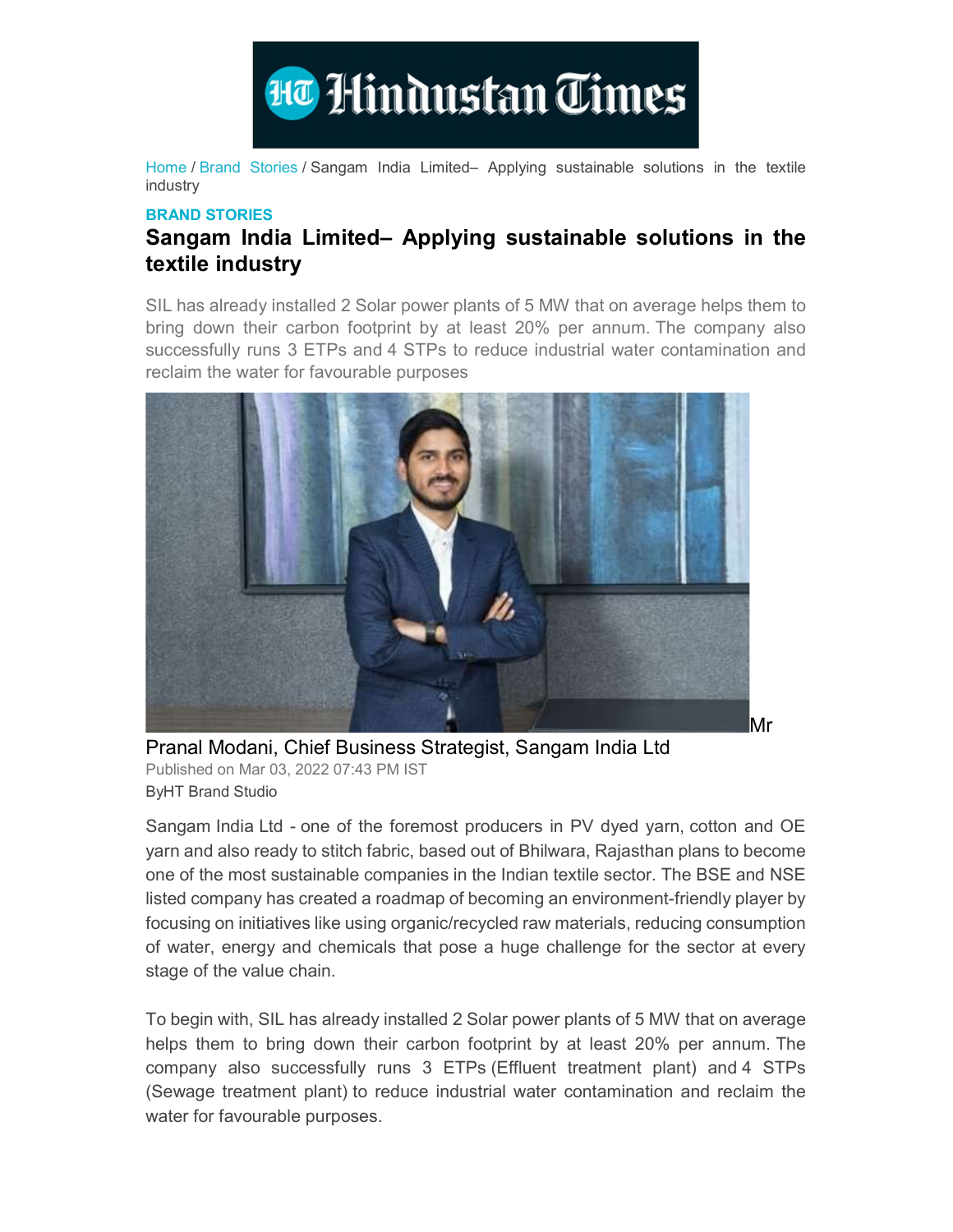

Home / Brand Stories / Sangam India Limited– Applying sustainable solutions in the textile industry

## BRAND STORIES

## Sangam India Limited– Applying sustainable solutions in the textile industry

SIL has already installed 2 Solar power plants of 5 MW that on average helps them to bring down their carbon footprint by at least 20% per annum. The company also successfully runs 3 ETPs and 4 STPs to reduce industrial water contamination and reclaim the water for favourable purposes



Pranal Modani, Chief Business Strategist, Sangam India Ltd Published on Mar 03, 2022 07:43 PM IST ByHT Brand Studio

Sangam India Ltd - one of the foremost producers in PV dyed yarn, cotton and OE yarn and also ready to stitch fabric, based out of Bhilwara, Rajasthan plans to become one of the most sustainable companies in the Indian textile sector. The BSE and NSE listed company has created a roadmap of becoming an environment-friendly player by focusing on initiatives like using organic/recycled raw materials, reducing consumption of water, energy and chemicals that pose a huge challenge for the sector at every stage of the value chain.

 To begin with, SIL has already installed 2 Solar power plants of 5 MW that on average helps them to bring down their carbon footprint by at least 20% per annum. The company also successfully runs 3 ETPs (Effluent treatment plant) and 4 STPs (Sewage treatment plant) to reduce industrial water contamination and reclaim the water for favourable purposes.